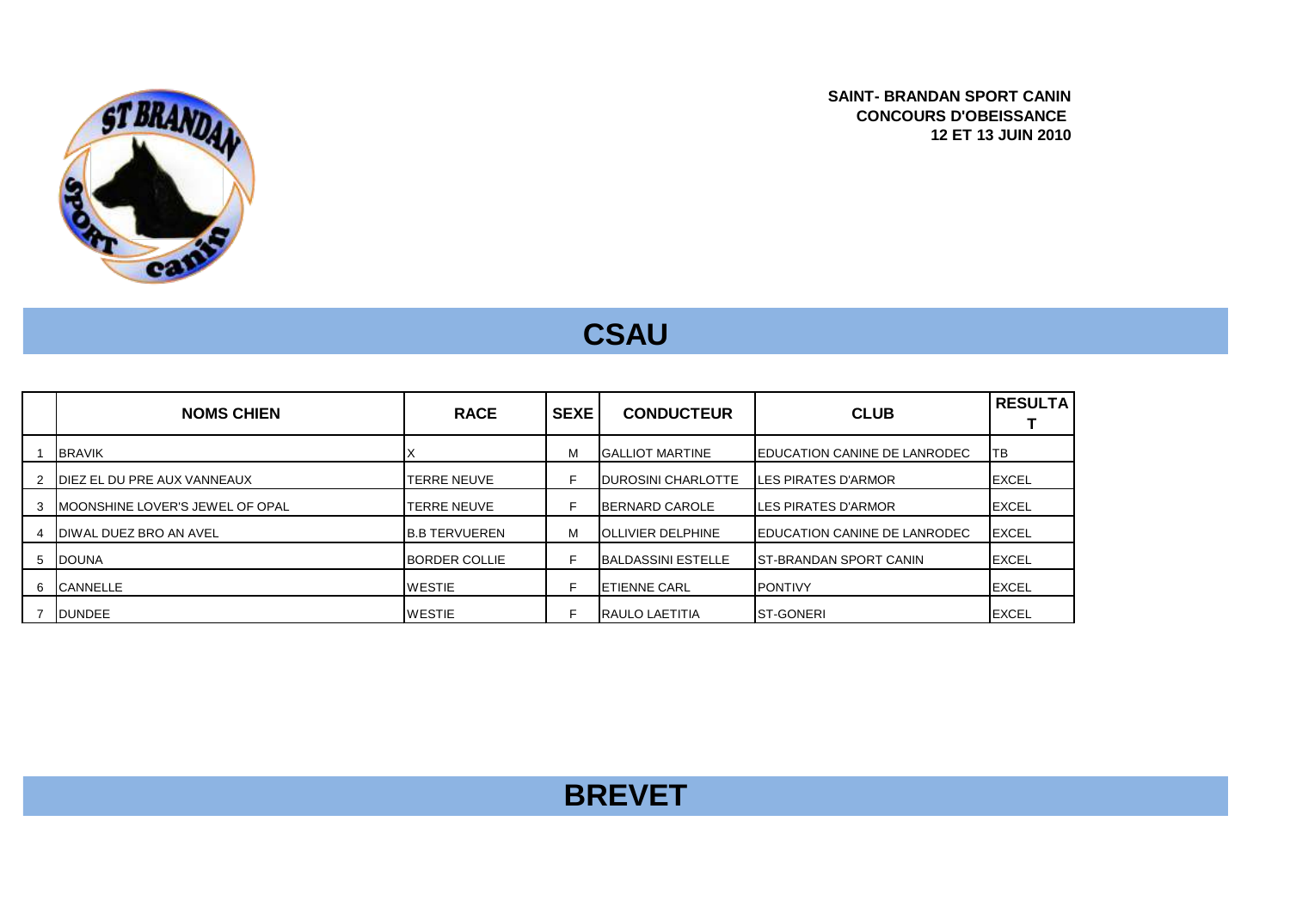

**SAINT- BRANDAN SPORT CANIN CONCOURS D'OBEISSANCE 12 ET 13 JUIN 2010**

## **CSAU**

|   | <b>NOMS CHIEN</b>                   | <b>RACE</b>          | <b>SEXE</b> | <b>CONDUCTEUR</b>          | <b>CLUB</b>                          | <b>RESULTA</b> |
|---|-------------------------------------|----------------------|-------------|----------------------------|--------------------------------------|----------------|
|   | <b>BRAVIK</b>                       |                      | М           | <b>IGALLIOT MARTINE</b>    | <b>IEDUCATION CANINE DE LANRODEC</b> | TB             |
|   | <b>IDIEZ EL DU PRE AUX VANNEAUX</b> | TERRE NEUVE          | ⊏           | <b>IDUROSINI CHARLOTTE</b> | <b>ILES PIRATES D'ARMOR</b>          | <b>IEXCEL</b>  |
|   | IMOONSHINE LOVER'S JEWEL OF OPAL    | TERRE NEUVE          |             | <b>IBERNARD CAROLE</b>     | <b>ILES PIRATES D'ARMOR</b>          | <b>EXCEL</b>   |
|   | DIWAL DUEZ BRO AN AVEL              | <b>B.B TERVUEREN</b> | М           | <b>IOLLIVIER DELPHINE</b>  | <b>IEDUCATION CANINE DE LANRODEC</b> | <b>EXCEL</b>   |
| 5 | <b>DOUNA</b>                        | <b>BORDER COLLIE</b> | Е           | <b>IBALDASSINI ESTELLE</b> | <b>IST-BRANDAN SPORT CANIN</b>       | <b>EXCEL</b>   |
| 6 | <b>CANNELLE</b>                     | <b>WESTIE</b>        | F           | <b>IETIENNE CARL</b>       | <b>IPONTIVY</b>                      | <b>EXCEL</b>   |
|   | <b>DUNDEE</b>                       | <b>WESTIE</b>        |             | <b>IRAULO LAETITIA</b>     | <b>ST-GONERI</b>                     | <b>EXCEL</b>   |

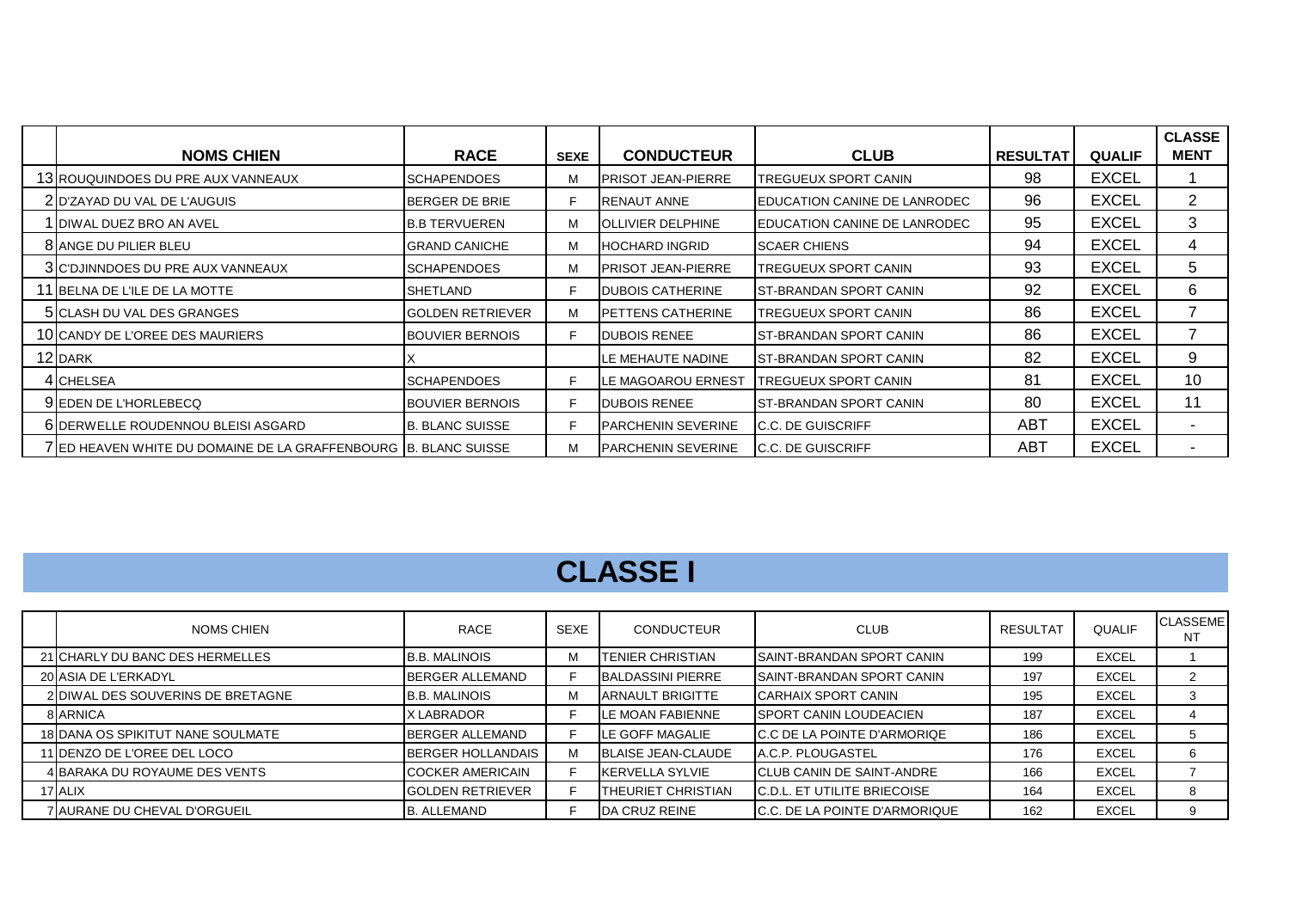| <b>NOMS CHIEN</b>                                               | <b>RACE</b>             | <b>SEXE</b> | <b>CONDUCTEUR</b>           | <b>CLUB</b>                          | <b>RESULTAT</b> | <b>QUALIF</b> | <b>CLASSE</b><br><b>MENT</b> |
|-----------------------------------------------------------------|-------------------------|-------------|-----------------------------|--------------------------------------|-----------------|---------------|------------------------------|
| 13 ROUQUINDOES DU PRE AUX VANNEAUX                              | <b>SCHAPENDOES</b>      | м           | <b>IPRISOT JEAN-PIERRE</b>  | TREGUEUX SPORT CANIN                 | 98              | <b>EXCEL</b>  |                              |
| 2 D'ZAYAD DU VAL DE L'AUGUIS                                    | BERGER DE BRIE          | F           | <b>IRENAUT ANNE</b>         | EDUCATION CANINE DE LANRODEC         | 96              | <b>EXCEL</b>  | $\overline{2}$               |
| <b>1 I</b> DIWAL DUEZ BRO AN AVEL                               | <b>I</b> B.B TERVUEREN  | м           | <b>JOLLIVIER DELPHINE</b>   | <b>IEDUCATION CANINE DE LANRODEC</b> | 95              | <b>EXCEL</b>  | 3                            |
| 8 ANGE DU PILIER BLEU                                           | <b>GRAND CANICHE</b>    | м           | <b>HOCHARD INGRID</b>       | <b>SCAER CHIENS</b>                  | 94              | <b>EXCEL</b>  | 4                            |
| 3 C'DJINNDOES DU PRE AUX VANNEAUX                               | <b>SCHAPENDOES</b>      | м           | <b>IPRISOT JEAN-PIERRE</b>  | <b>TREGUEUX SPORT CANIN</b>          | 93              | <b>EXCEL</b>  | 5                            |
| 11 BELNA DE L'ILE DE LA MOTTE                                   | SHETLAND                | F           | <b>DUBOIS CATHERINE</b>     | <b>IST-BRANDAN SPORT CANIN</b>       | 92              | <b>EXCEL</b>  | 6                            |
| 5 CLASH DU VAL DES GRANGES                                      | <b>GOLDEN RETRIEVER</b> | м           | <b>PETTENS CATHERINE</b>    | TREGUEUX SPORT CANIN                 | 86              | <b>EXCEL</b>  |                              |
| 10 CANDY DE L'OREE DES MAURIERS                                 | <b>BOUVIER BERNOIS</b>  | F.          | <b>DUBOIS RENEE</b>         | <b>ST-BRANDAN SPORT CANIN</b>        | 86              | <b>EXCEL</b>  |                              |
| 12 DARK                                                         |                         |             | LE MEHAUTE NADINE           | <b>ST-BRANDAN SPORT CANIN</b>        | 82              | <b>EXCEL</b>  | 9                            |
| 4 CHELSEA                                                       | <b>SCHAPENDOES</b>      | F           | LE MAGOAROU ERNEST          | <b>TREGUEUX SPORT CANIN</b>          | 81              | <b>EXCEL</b>  | 10                           |
| 9 EDEN DE L'HORLEBECQ                                           | <b>BOUVIER BERNOIS</b>  | F.          | <b>DUBOIS RENEE</b>         | <b>ST-BRANDAN SPORT CANIN</b>        | 80              | <b>EXCEL</b>  | 11                           |
| 6 DERWELLE ROUDENNOU BLEISI ASGARD                              | <b>B. BLANC SUISSE</b>  | F           | <b>I</b> PARCHENIN SEVERINE | <b>IC.C. DE GUISCRIFF</b>            | ABT             | <b>EXCEL</b>  | ۰                            |
| 7 ED HEAVEN WHITE DU DOMAINE DE LA GRAFFENBOURG B. BLANC SUISSE |                         | м           | <b>PARCHENIN SEVERINE</b>   | <b>IC.C. DE GUISCRIFF</b>            | ABT             | <b>EXCEL</b>  |                              |

## **CLASSE I**

| NOMS CHIEN                        | <b>RACE</b>             | <b>SEXE</b> | <b>CONDUCTEUR</b>         | <b>CLUB</b>                           | RESULTAT | <b>QUALIF</b> | <b>CLASSEME</b><br>NT |
|-----------------------------------|-------------------------|-------------|---------------------------|---------------------------------------|----------|---------------|-----------------------|
| 21 CHARLY DU BANC DES HERMELLES   | <b>B.B. MALINOIS</b>    | м           | <b>TENIER CHRISTIAN</b>   | <b>ISAINT-BRANDAN SPORT CANIN</b>     | 199      | <b>EXCEL</b>  |                       |
| 20 ASIA DE L'ERKADYL              | BERGER ALLEMAND         |             | <b>BALDASSINI PIERRE</b>  | <b>ISAINT-BRANDAN SPORT CANIN</b>     | 197      | <b>EXCEL</b>  | $\mathbf{2}$          |
| 2 DIWAL DES SOUVERINS DE BRETAGNE | <b>B.B. MALINOIS</b>    | м           | <b>ARNAULT BRIGITTE</b>   | <b>CARHAIX SPORT CANIN</b>            | 195      | <b>EXCEL</b>  | 3                     |
| 8 ARNICA                          | X LABRADOR              |             | <b>ILE MOAN FABIENNE</b>  | <b>ISPORT CANIN LOUDEACIEN</b>        | 187      | <b>EXCEL</b>  | 4                     |
| 18 DANA OS SPIKITUT NANE SOULMATE | BERGER ALLEMAND         |             | LE GOFF MAGALIE           | <b>IC.C DE LA POINTE D'ARMORIQE</b>   | 186      | <b>EXCEL</b>  | 5 <sup>5</sup>        |
| 11 DENZO DE L'OREE DEL LOCO       | BERGER HOLLANDAIS       | м           | <b>BLAISE JEAN-CLAUDE</b> | A.C.P. PLOUGASTEL                     | 176      | <b>EXCEL</b>  | 6                     |
| 4 BARAKA DU ROYAUME DES VENTS     | <b>COCKER AMERICAIN</b> |             | <b>IKERVELLA SYLVIE</b>   | <b>ICLUB CANIN DE SAINT-ANDRE</b>     | 166      | <b>EXCEL</b>  |                       |
| 17 ALIX                           | IGOLDEN RETRIEVER       |             | <b>THEURIET CHRISTIAN</b> | <b>IC.D.L. ET UTILITE BRIECOISE</b>   | 164      | <b>EXCEL</b>  | 8                     |
| 7 AURANE DU CHEVAL D'ORGUEIL      | <b>B. ALLEMAND</b>      |             | <b>IDA CRUZ REINE</b>     | <b>IC.C. DE LA POINTE D'ARMORIQUE</b> | 162      | <b>EXCEL</b>  | 9                     |